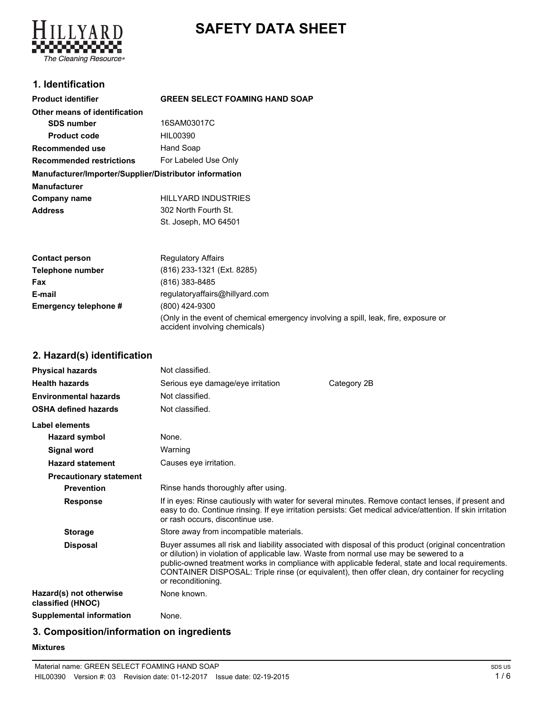# **SAFETY DATA SHEET**



# **1. Identification**

| <b>Product identifier</b>                               | <b>GREEN SELECT FOAMING HAND SOAP</b> |
|---------------------------------------------------------|---------------------------------------|
| Other means of identification                           |                                       |
| <b>SDS number</b>                                       | 16SAM03017C                           |
| <b>Product code</b>                                     | HIL00390                              |
| Recommended use                                         | Hand Soap                             |
| For Labeled Use Only<br><b>Recommended restrictions</b> |                                       |
| Manufacturer/Importer/Supplier/Distributor information  |                                       |
| <b>Manufacturer</b>                                     |                                       |
| Company name                                            | <b>HILLYARD INDUSTRIES</b>            |
| <b>Address</b>                                          | 302 North Fourth St.                  |
|                                                         | St. Joseph, MO 64501                  |

| <b>Contact person</b> | <b>Regulatory Affairs</b>                                                                                            |
|-----------------------|----------------------------------------------------------------------------------------------------------------------|
| Telephone number      | (816) 233-1321 (Ext. 8285)                                                                                           |
| Fax                   | (816) 383-8485                                                                                                       |
| E-mail                | regulatoryaffairs@hillyard.com                                                                                       |
| Emergency telephone # | (800) 424-9300                                                                                                       |
|                       | (Only in the event of chemical emergency involving a spill, leak, fire, exposure or<br>accident involving chemicals) |

# **2. Hazard(s) identification**

| <b>Physical hazards</b>                      | Not classified.                                                                                              |                                                                                                                                                                                                                                                                                                               |
|----------------------------------------------|--------------------------------------------------------------------------------------------------------------|---------------------------------------------------------------------------------------------------------------------------------------------------------------------------------------------------------------------------------------------------------------------------------------------------------------|
| <b>Health hazards</b>                        | Serious eye damage/eye irritation                                                                            | Category 2B                                                                                                                                                                                                                                                                                                   |
| <b>Environmental hazards</b>                 | Not classified.                                                                                              |                                                                                                                                                                                                                                                                                                               |
| <b>OSHA defined hazards</b>                  | Not classified.                                                                                              |                                                                                                                                                                                                                                                                                                               |
| Label elements                               |                                                                                                              |                                                                                                                                                                                                                                                                                                               |
| <b>Hazard symbol</b>                         | None.                                                                                                        |                                                                                                                                                                                                                                                                                                               |
| <b>Signal word</b>                           | Warning                                                                                                      |                                                                                                                                                                                                                                                                                                               |
| <b>Hazard statement</b>                      | Causes eye irritation.                                                                                       |                                                                                                                                                                                                                                                                                                               |
| <b>Precautionary statement</b>               |                                                                                                              |                                                                                                                                                                                                                                                                                                               |
| <b>Prevention</b>                            | Rinse hands thoroughly after using.                                                                          |                                                                                                                                                                                                                                                                                                               |
| <b>Response</b>                              | or rash occurs, discontinue use.                                                                             | If in eyes: Rinse cautiously with water for several minutes. Remove contact lenses, if present and<br>easy to do. Continue rinsing. If eye irritation persists: Get medical advice/attention. If skin irritation                                                                                              |
| <b>Storage</b>                               | Store away from incompatible materials.                                                                      |                                                                                                                                                                                                                                                                                                               |
| <b>Disposal</b>                              | or dilution) in violation of applicable law. Waste from normal use may be sewered to a<br>or reconditioning. | Buyer assumes all risk and liability associated with disposal of this product (original concentration<br>public-owned treatment works in compliance with applicable federal, state and local requirements.<br>CONTAINER DISPOSAL: Triple rinse (or equivalent), then offer clean, dry container for recycling |
| Hazard(s) not otherwise<br>classified (HNOC) | None known.                                                                                                  |                                                                                                                                                                                                                                                                                                               |
| <b>Supplemental information</b>              | None.                                                                                                        |                                                                                                                                                                                                                                                                                                               |

# **3. Composition/information on ingredients**

#### **Mixtures**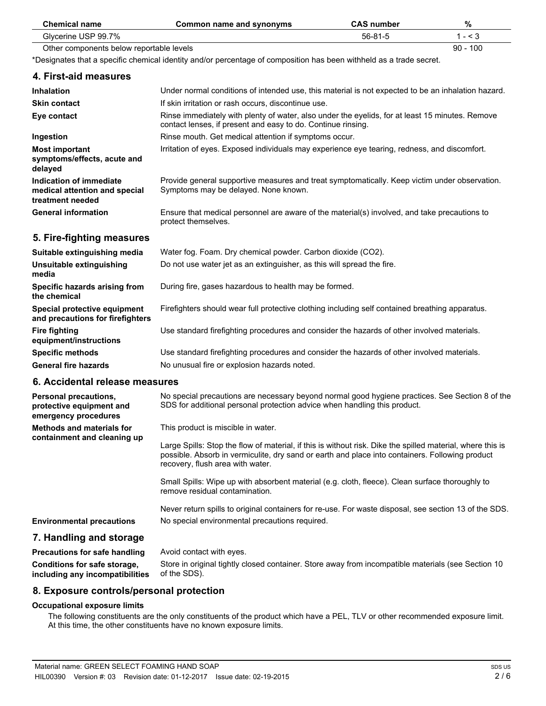| <b>Chemical name</b>                                                                | <b>Common name and synonyms</b>                                                                                                                                                                                                                   | <b>CAS number</b> | %          |
|-------------------------------------------------------------------------------------|---------------------------------------------------------------------------------------------------------------------------------------------------------------------------------------------------------------------------------------------------|-------------------|------------|
| Glycerine USP 99.7%                                                                 |                                                                                                                                                                                                                                                   | $56 - 81 - 5$     | $1 - 3$    |
| Other components below reportable levels                                            |                                                                                                                                                                                                                                                   |                   | $90 - 100$ |
|                                                                                     | *Designates that a specific chemical identity and/or percentage of composition has been withheld as a trade secret.                                                                                                                               |                   |            |
| 4. First-aid measures                                                               |                                                                                                                                                                                                                                                   |                   |            |
| <b>Inhalation</b>                                                                   | Under normal conditions of intended use, this material is not expected to be an inhalation hazard.                                                                                                                                                |                   |            |
| <b>Skin contact</b>                                                                 | If skin irritation or rash occurs, discontinue use.                                                                                                                                                                                               |                   |            |
| Eye contact                                                                         | Rinse immediately with plenty of water, also under the eyelids, for at least 15 minutes. Remove<br>contact lenses, if present and easy to do. Continue rinsing.                                                                                   |                   |            |
| Ingestion                                                                           | Rinse mouth. Get medical attention if symptoms occur.                                                                                                                                                                                             |                   |            |
| <b>Most important</b><br>symptoms/effects, acute and<br>delayed                     | Irritation of eyes. Exposed individuals may experience eye tearing, redness, and discomfort.                                                                                                                                                      |                   |            |
| <b>Indication of immediate</b><br>medical attention and special<br>treatment needed | Provide general supportive measures and treat symptomatically. Keep victim under observation.<br>Symptoms may be delayed. None known.                                                                                                             |                   |            |
| <b>General information</b>                                                          | Ensure that medical personnel are aware of the material(s) involved, and take precautions to<br>protect themselves.                                                                                                                               |                   |            |
| 5. Fire-fighting measures                                                           |                                                                                                                                                                                                                                                   |                   |            |
| Suitable extinguishing media                                                        | Water fog. Foam. Dry chemical powder. Carbon dioxide (CO2).                                                                                                                                                                                       |                   |            |
| Unsuitable extinguishing<br>media                                                   | Do not use water jet as an extinguisher, as this will spread the fire.                                                                                                                                                                            |                   |            |
| Specific hazards arising from<br>the chemical                                       | During fire, gases hazardous to health may be formed.                                                                                                                                                                                             |                   |            |
| Special protective equipment<br>and precautions for firefighters                    | Firefighters should wear full protective clothing including self contained breathing apparatus.                                                                                                                                                   |                   |            |
| <b>Fire fighting</b><br>equipment/instructions                                      | Use standard firefighting procedures and consider the hazards of other involved materials.                                                                                                                                                        |                   |            |
| <b>Specific methods</b>                                                             | Use standard firefighting procedures and consider the hazards of other involved materials.                                                                                                                                                        |                   |            |
| <b>General fire hazards</b>                                                         | No unusual fire or explosion hazards noted.                                                                                                                                                                                                       |                   |            |
| 6. Accidental release measures                                                      |                                                                                                                                                                                                                                                   |                   |            |
| <b>Personal precautions,</b><br>protective equipment and<br>emergency procedures    | No special precautions are necessary beyond normal good hygiene practices. See Section 8 of the<br>SDS for additional personal protection advice when handling this product.                                                                      |                   |            |
| <b>Methods and materials for</b>                                                    | This product is miscible in water.                                                                                                                                                                                                                |                   |            |
| containment and cleaning up                                                         | Large Spills: Stop the flow of material, if this is without risk. Dike the spilled material, where this is<br>possible. Absorb in vermiculite, dry sand or earth and place into containers. Following product<br>recovery, flush area with water. |                   |            |

Small Spills: Wipe up with absorbent material (e.g. cloth, fleece). Clean surface thoroughly to remove residual contamination.

Never return spills to original containers for re-use. For waste disposal, see section 13 of the SDS. **Environmental precautions** No special environmental precautions required.

## **7. Handling and storage**

| <b>Precautions for safe handling</b> | Avoid contact with eyes.                                                                           |
|--------------------------------------|----------------------------------------------------------------------------------------------------|
| Conditions for safe storage,         | Store in original tightly closed container. Store away from incompatible materials (see Section 10 |
| including any incompatibilities      | of the SDS).                                                                                       |

## **8. Exposure controls/personal protection**

#### **Occupational exposure limits**

The following constituents are the only constituents of the product which have a PEL, TLV or other recommended exposure limit. At this time, the other constituents have no known exposure limits.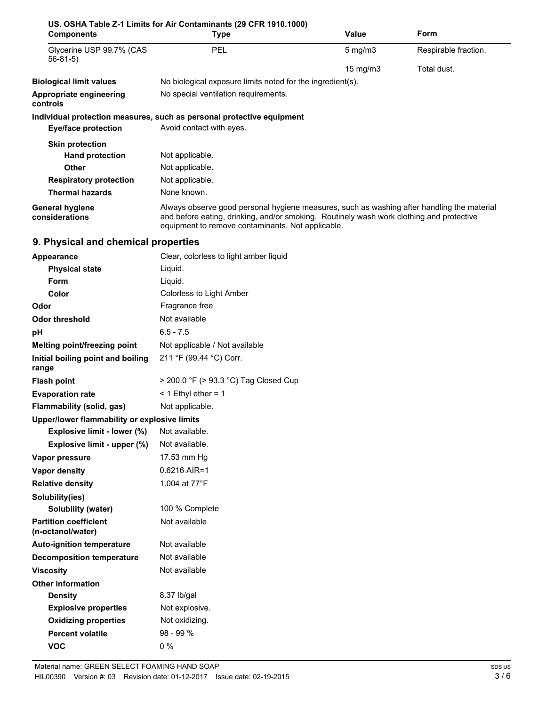| <b>Components</b>                                 | US. OSHA Table Z-1 Limits for Air Contaminants (29 CFR 1910.1000)<br><b>Type</b>                                                                                                                                                            | <b>Value</b> | Form                 |  |  |
|---------------------------------------------------|---------------------------------------------------------------------------------------------------------------------------------------------------------------------------------------------------------------------------------------------|--------------|----------------------|--|--|
| Glycerine USP 99.7% (CAS<br>$56-81-5)$            | PEL                                                                                                                                                                                                                                         | $5$ mg/m $3$ | Respirable fraction. |  |  |
|                                                   | 15 mg/m3<br>Total dust.                                                                                                                                                                                                                     |              |                      |  |  |
| <b>Biological limit values</b>                    | No biological exposure limits noted for the ingredient(s).                                                                                                                                                                                  |              |                      |  |  |
| Appropriate engineering<br>controls               | No special ventilation requirements.                                                                                                                                                                                                        |              |                      |  |  |
|                                                   | Individual protection measures, such as personal protective equipment                                                                                                                                                                       |              |                      |  |  |
| <b>Eye/face protection</b>                        | Avoid contact with eyes.                                                                                                                                                                                                                    |              |                      |  |  |
| <b>Skin protection</b>                            |                                                                                                                                                                                                                                             |              |                      |  |  |
| <b>Hand protection</b>                            | Not applicable.                                                                                                                                                                                                                             |              |                      |  |  |
| Other                                             | Not applicable.                                                                                                                                                                                                                             |              |                      |  |  |
| <b>Respiratory protection</b>                     | Not applicable.                                                                                                                                                                                                                             |              |                      |  |  |
| <b>Thermal hazards</b>                            | None known.                                                                                                                                                                                                                                 |              |                      |  |  |
| <b>General hygiene</b><br>considerations          | Always observe good personal hygiene measures, such as washing after handling the material<br>and before eating, drinking, and/or smoking. Routinely wash work clothing and protective<br>equipment to remove contaminants. Not applicable. |              |                      |  |  |
| 9. Physical and chemical properties               |                                                                                                                                                                                                                                             |              |                      |  |  |
| <b>Appearance</b>                                 | Clear, colorless to light amber liquid                                                                                                                                                                                                      |              |                      |  |  |
| <b>Physical state</b>                             | Liquid.                                                                                                                                                                                                                                     |              |                      |  |  |
| Form                                              | Liquid.                                                                                                                                                                                                                                     |              |                      |  |  |
| Color                                             | Colorless to Light Amber                                                                                                                                                                                                                    |              |                      |  |  |
| Odor                                              | Fragrance free                                                                                                                                                                                                                              |              |                      |  |  |
| <b>Odor threshold</b>                             | Not available                                                                                                                                                                                                                               |              |                      |  |  |
| рH                                                | $6.5 - 7.5$                                                                                                                                                                                                                                 |              |                      |  |  |
| Melting point/freezing point                      | Not applicable / Not available                                                                                                                                                                                                              |              |                      |  |  |
| Initial boiling point and boiling<br>range        | 211 °F (99.44 °C) Corr.                                                                                                                                                                                                                     |              |                      |  |  |
| <b>Flash point</b>                                | > 200.0 °F (> 93.3 °C) Tag Closed Cup                                                                                                                                                                                                       |              |                      |  |  |
| <b>Evaporation rate</b>                           | $<$ 1 Ethyl ether = 1                                                                                                                                                                                                                       |              |                      |  |  |
| <b>Flammability (solid, gas)</b>                  | Not applicable.                                                                                                                                                                                                                             |              |                      |  |  |
| Upper/lower flammability or explosive limits      |                                                                                                                                                                                                                                             |              |                      |  |  |
| Explosive limit - lower (%)                       | Not available.                                                                                                                                                                                                                              |              |                      |  |  |
| Explosive limit - upper (%)                       | Not available.                                                                                                                                                                                                                              |              |                      |  |  |
| Vapor pressure                                    | 17.53 mm Hg                                                                                                                                                                                                                                 |              |                      |  |  |
| <b>Vapor density</b>                              | 0.6216 AIR=1                                                                                                                                                                                                                                |              |                      |  |  |
| <b>Relative density</b>                           | 1.004 at 77°F                                                                                                                                                                                                                               |              |                      |  |  |
| Solubility(ies)                                   |                                                                                                                                                                                                                                             |              |                      |  |  |
| Solubility (water)                                | 100 % Complete                                                                                                                                                                                                                              |              |                      |  |  |
| <b>Partition coefficient</b><br>(n-octanol/water) | Not available                                                                                                                                                                                                                               |              |                      |  |  |
| <b>Auto-ignition temperature</b>                  | Not available                                                                                                                                                                                                                               |              |                      |  |  |
| <b>Decomposition temperature</b>                  | Not available                                                                                                                                                                                                                               |              |                      |  |  |
| <b>Viscosity</b>                                  | Not available                                                                                                                                                                                                                               |              |                      |  |  |
| <b>Other information</b>                          |                                                                                                                                                                                                                                             |              |                      |  |  |
| <b>Density</b>                                    | 8.37 lb/gal                                                                                                                                                                                                                                 |              |                      |  |  |
| <b>Explosive properties</b>                       | Not explosive.                                                                                                                                                                                                                              |              |                      |  |  |
| <b>Oxidizing properties</b>                       | Not oxidizing.                                                                                                                                                                                                                              |              |                      |  |  |
| <b>Percent volatile</b>                           | 98 - 99 %                                                                                                                                                                                                                                   |              |                      |  |  |
| <b>VOC</b>                                        | $0\%$                                                                                                                                                                                                                                       |              |                      |  |  |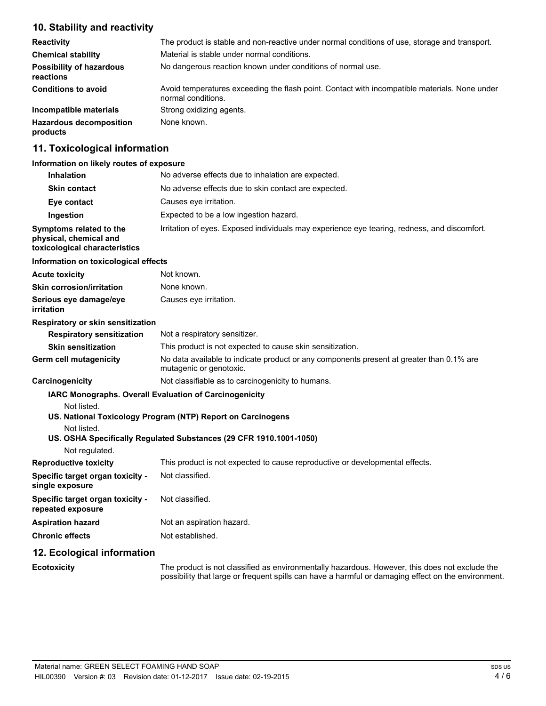# **10. Stability and reactivity**

| <b>Reactivity</b>                            | The product is stable and non-reactive under normal conditions of use, storage and transport.                       |
|----------------------------------------------|---------------------------------------------------------------------------------------------------------------------|
| <b>Chemical stability</b>                    | Material is stable under normal conditions.                                                                         |
| <b>Possibility of hazardous</b><br>reactions | No dangerous reaction known under conditions of normal use.                                                         |
| <b>Conditions to avoid</b>                   | Avoid temperatures exceeding the flash point. Contact with incompatible materials. None under<br>normal conditions. |
| Incompatible materials                       | Strong oxidizing agents.                                                                                            |
| <b>Hazardous decomposition</b><br>products   | None known.                                                                                                         |

# **11. Toxicological information**

#### **Information on likely routes of exposure**

| <b>Inhalation</b>                                                                  | No adverse effects due to inhalation are expected.                                                                                                                                                 |
|------------------------------------------------------------------------------------|----------------------------------------------------------------------------------------------------------------------------------------------------------------------------------------------------|
| <b>Skin contact</b>                                                                | No adverse effects due to skin contact are expected.                                                                                                                                               |
| Eye contact                                                                        | Causes eye irritation.                                                                                                                                                                             |
| Ingestion                                                                          | Expected to be a low ingestion hazard.                                                                                                                                                             |
| Symptoms related to the<br>physical, chemical and<br>toxicological characteristics | Irritation of eyes. Exposed individuals may experience eye tearing, redness, and discomfort.                                                                                                       |
| Information on toxicological effects                                               |                                                                                                                                                                                                    |
| <b>Acute toxicity</b>                                                              | Not known.                                                                                                                                                                                         |
| <b>Skin corrosion/irritation</b>                                                   | None known.                                                                                                                                                                                        |
| Serious eye damage/eye<br><i>irritation</i>                                        | Causes eye irritation.                                                                                                                                                                             |
| Respiratory or skin sensitization                                                  |                                                                                                                                                                                                    |
| <b>Respiratory sensitization</b>                                                   | Not a respiratory sensitizer.                                                                                                                                                                      |
| <b>Skin sensitization</b>                                                          | This product is not expected to cause skin sensitization.                                                                                                                                          |
| <b>Germ cell mutagenicity</b>                                                      | No data available to indicate product or any components present at greater than 0.1% are<br>mutagenic or genotoxic.                                                                                |
| Carcinogenicity                                                                    | Not classifiable as to carcinogenicity to humans.                                                                                                                                                  |
| Not listed.<br>Not listed.<br>Not regulated.                                       | <b>IARC Monographs. Overall Evaluation of Carcinogenicity</b><br>US. National Toxicology Program (NTP) Report on Carcinogens<br>US. OSHA Specifically Regulated Substances (29 CFR 1910.1001-1050) |
| <b>Reproductive toxicity</b>                                                       | This product is not expected to cause reproductive or developmental effects.                                                                                                                       |
| Specific target organ toxicity -<br>single exposure                                | Not classified.                                                                                                                                                                                    |
| Specific target organ toxicity -<br>repeated exposure                              | Not classified.                                                                                                                                                                                    |
| <b>Aspiration hazard</b>                                                           | Not an aspiration hazard.                                                                                                                                                                          |
| <b>Chronic effects</b>                                                             | Not established.                                                                                                                                                                                   |
| 12. Ecological information                                                         |                                                                                                                                                                                                    |
| <b>Ecotoxicity</b>                                                                 | The product is not classified as environmentally hazardous. However, this does not exclude the                                                                                                     |

possibility that large or frequent spills can have a harmful or damaging effect on the environment.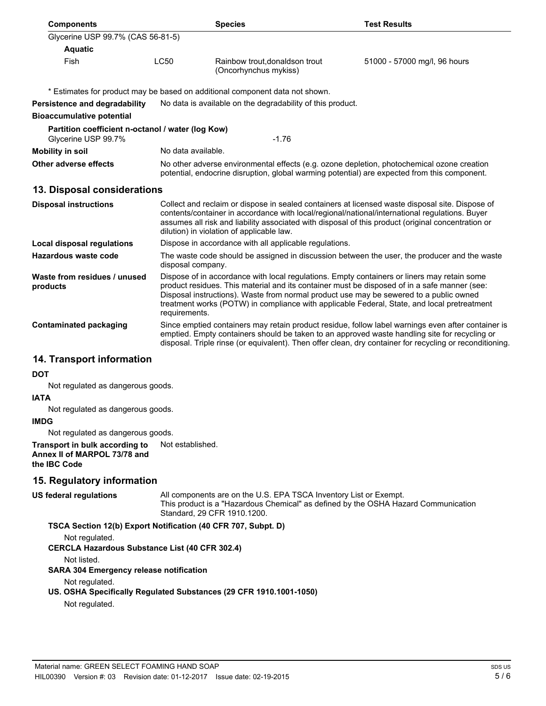| <b>Components</b>                                                        |                                                        | <b>Species</b>                                                                                                                                                                             | <b>Test Results</b>                                                                                                                                                                                                                                                                                             |  |
|--------------------------------------------------------------------------|--------------------------------------------------------|--------------------------------------------------------------------------------------------------------------------------------------------------------------------------------------------|-----------------------------------------------------------------------------------------------------------------------------------------------------------------------------------------------------------------------------------------------------------------------------------------------------------------|--|
| Glycerine USP 99.7% (CAS 56-81-5)                                        |                                                        |                                                                                                                                                                                            |                                                                                                                                                                                                                                                                                                                 |  |
| <b>Aquatic</b>                                                           |                                                        |                                                                                                                                                                                            |                                                                                                                                                                                                                                                                                                                 |  |
| Fish                                                                     | <b>LC50</b>                                            | Rainbow trout, donaldson trout<br>(Oncorhynchus mykiss)                                                                                                                                    | 51000 - 57000 mg/l, 96 hours                                                                                                                                                                                                                                                                                    |  |
|                                                                          |                                                        | * Estimates for product may be based on additional component data not shown.                                                                                                               |                                                                                                                                                                                                                                                                                                                 |  |
| Persistence and degradability                                            |                                                        | No data is available on the degradability of this product.                                                                                                                                 |                                                                                                                                                                                                                                                                                                                 |  |
| <b>Bioaccumulative potential</b>                                         |                                                        |                                                                                                                                                                                            |                                                                                                                                                                                                                                                                                                                 |  |
| Partition coefficient n-octanol / water (log Kow)<br>Glycerine USP 99.7% |                                                        | $-1.76$                                                                                                                                                                                    |                                                                                                                                                                                                                                                                                                                 |  |
| <b>Mobility in soil</b>                                                  | No data available.                                     |                                                                                                                                                                                            |                                                                                                                                                                                                                                                                                                                 |  |
| Other adverse effects                                                    |                                                        | No other adverse environmental effects (e.g. ozone depletion, photochemical ozone creation<br>potential, endocrine disruption, global warming potential) are expected from this component. |                                                                                                                                                                                                                                                                                                                 |  |
| 13. Disposal considerations                                              |                                                        |                                                                                                                                                                                            |                                                                                                                                                                                                                                                                                                                 |  |
| <b>Disposal instructions</b>                                             |                                                        | dilution) in violation of applicable law.                                                                                                                                                  | Collect and reclaim or dispose in sealed containers at licensed waste disposal site. Dispose of<br>contents/container in accordance with local/regional/national/international regulations. Buyer<br>assumes all risk and liability associated with disposal of this product (original concentration or         |  |
| <b>Local disposal regulations</b>                                        | Dispose in accordance with all applicable regulations. |                                                                                                                                                                                            |                                                                                                                                                                                                                                                                                                                 |  |
| <b>Hazardous waste code</b>                                              | disposal company.                                      |                                                                                                                                                                                            | The waste code should be assigned in discussion between the user, the producer and the waste                                                                                                                                                                                                                    |  |
| Waste from residues / unused<br>products                                 | requirements.                                          | Dispose of in accordance with local regulations. Empty containers or liners may retain some<br>Disposal instructions). Waste from normal product use may be sewered to a public owned      | product residues. This material and its container must be disposed of in a safe manner (see:<br>treatment works (POTW) in compliance with applicable Federal, State, and local pretreatment                                                                                                                     |  |
| <b>Contaminated packaging</b>                                            |                                                        |                                                                                                                                                                                            | Since emptied containers may retain product residue, follow label warnings even after container is<br>emptied. Empty containers should be taken to an approved waste handling site for recycling or<br>disposal. Triple rinse (or equivalent). Then offer clean, dry container for recycling or reconditioning. |  |
| 14 Transnort information                                                 |                                                        |                                                                                                                                                                                            |                                                                                                                                                                                                                                                                                                                 |  |

## **14. Transport information**

#### **DOT**

Not regulated as dangerous goods.

#### **IATA**

Not regulated as dangerous goods.

#### **IMDG**

Not regulated as dangerous goods.

#### **Transport in bulk according to** Not established. **Annex II of MARPOL 73/78 and the IBC Code**

## **15. Regulatory information**

All components are on the U.S. EPA TSCA Inventory List or Exempt. This product is a "Hazardous Chemical" as defined by the OSHA Hazard Communication Standard, 29 CFR 1910.1200.

## **TSCA Section 12(b) Export Notification (40 CFR 707, Subpt. D)**

Not regulated.

**CERCLA Hazardous Substance List (40 CFR 302.4)**

Not listed.

**US federal regulations**

## **SARA 304 Emergency release notification**

Not regulated.

## **US. OSHA Specifically Regulated Substances (29 CFR 1910.1001-1050)**

Not regulated.